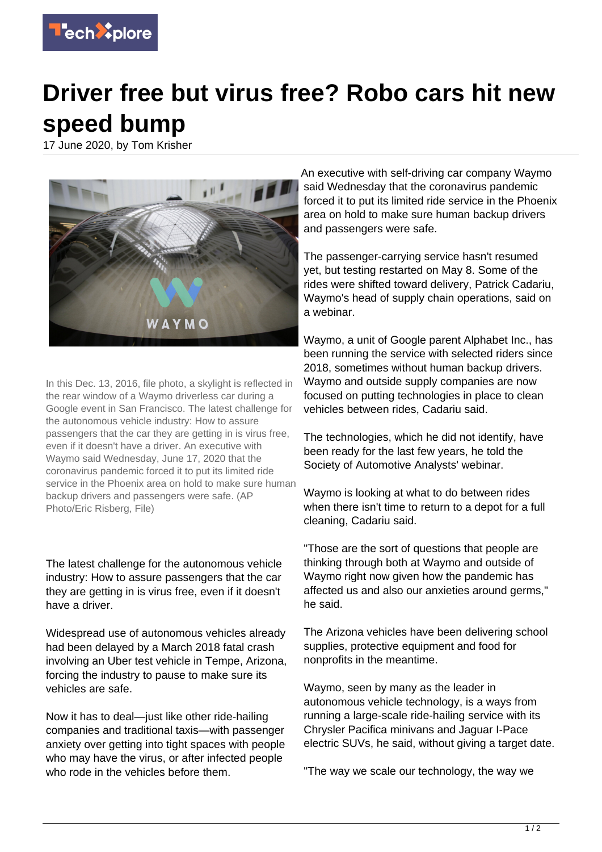

## **Driver free but virus free? Robo cars hit new speed bump**

17 June 2020, by Tom Krisher



In this Dec. 13, 2016, file photo, a skylight is reflected in the rear window of a Waymo driverless car during a Google event in San Francisco. The latest challenge for the autonomous vehicle industry: How to assure passengers that the car they are getting in is virus free, even if it doesn't have a driver. An executive with Waymo said Wednesday, June 17, 2020 that the coronavirus pandemic forced it to put its limited ride service in the Phoenix area on hold to make sure human backup drivers and passengers were safe. (AP Photo/Eric Risberg, File)

The latest challenge for the autonomous vehicle industry: How to assure passengers that the car they are getting in is virus free, even if it doesn't have a driver.

Widespread use of autonomous vehicles already had been delayed by a March 2018 fatal crash involving an Uber test vehicle in Tempe, Arizona, forcing the industry to pause to make sure its vehicles are safe.

Now it has to deal—just like other ride-hailing companies and traditional taxis—with passenger anxiety over getting into tight spaces with people who may have the virus, or after infected people who rode in the vehicles before them.

An executive with self-driving car company Waymo said Wednesday that the coronavirus pandemic forced it to put its limited ride service in the Phoenix area on hold to make sure human backup drivers and passengers were safe.

The passenger-carrying service hasn't resumed yet, but testing restarted on May 8. Some of the rides were shifted toward delivery, Patrick Cadariu, Waymo's head of supply chain operations, said on a webinar.

Waymo, a unit of Google parent Alphabet Inc., has been running the service with selected riders since 2018, sometimes without human backup drivers. Waymo and outside supply companies are now focused on putting technologies in place to clean vehicles between rides, Cadariu said.

The technologies, which he did not identify, have been ready for the last few years, he told the Society of Automotive Analysts' webinar.

Waymo is looking at what to do between rides when there isn't time to return to a depot for a full cleaning, Cadariu said.

"Those are the sort of questions that people are thinking through both at Waymo and outside of Waymo right now given how the pandemic has affected us and also our anxieties around germs," he said.

The Arizona vehicles have been delivering school supplies, protective equipment and food for nonprofits in the meantime.

Waymo, seen by many as the leader in autonomous vehicle technology, is a ways from running a large-scale ride-hailing service with its Chrysler Pacifica minivans and Jaguar I-Pace electric SUVs, he said, without giving a target date.

"The way we scale our technology, the way we